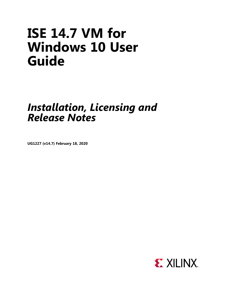# **ISE 14.7 VM for Windows 10 User Guide**

# *Installation, Licensing and Release Notes*

**UG1227 (v14.7) February 18, 2020**

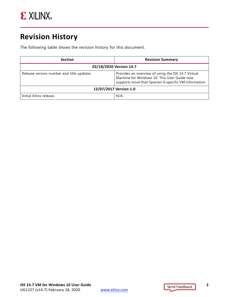## <span id="page-1-0"></span>**Revision History**

The following table shows the revision history for this document.

| <b>Section</b>                            | <b>Revision Summary</b>                                                                                                                                    |  |
|-------------------------------------------|------------------------------------------------------------------------------------------------------------------------------------------------------------|--|
| 02/18/2020 Version 14.7                   |                                                                                                                                                            |  |
| Release version number and title updates. | Provides an overview of using the ISE 14.7 Virtual<br>Machine for Windows 10. This User Guide now<br>supports more than Spartan-6 specific VM information. |  |
| 12/07/2017 Version 1.0                    |                                                                                                                                                            |  |
| Initial Xilinx release.                   | N/A                                                                                                                                                        |  |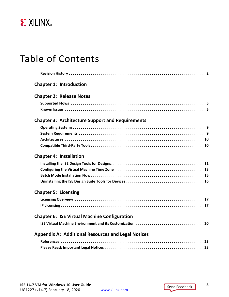

## Table of Contents

|                             | <b>Chapter 1: Introduction</b>                            |  |
|-----------------------------|-----------------------------------------------------------|--|
|                             | <b>Chapter 2: Release Notes</b>                           |  |
|                             |                                                           |  |
|                             |                                                           |  |
|                             | <b>Chapter 3: Architecture Support and Requirements</b>   |  |
|                             |                                                           |  |
|                             |                                                           |  |
|                             |                                                           |  |
|                             |                                                           |  |
|                             | <b>Chapter 4: Installation</b>                            |  |
|                             |                                                           |  |
|                             |                                                           |  |
|                             |                                                           |  |
|                             |                                                           |  |
| <b>Chapter 5: Licensing</b> |                                                           |  |
|                             |                                                           |  |
|                             |                                                           |  |
|                             | <b>Chapter 6: ISE Virtual Machine Configuration</b>       |  |
|                             |                                                           |  |
|                             | <b>Appendix A: Additional Resources and Legal Notices</b> |  |
|                             |                                                           |  |
|                             |                                                           |  |
|                             |                                                           |  |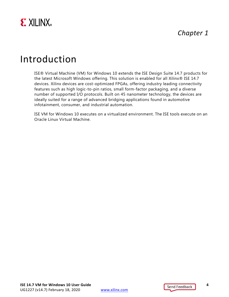

## <span id="page-3-0"></span>Introduction

ISE® Virtual Machine (VM) for Windows 10 extends the ISE Design Suite 14.7 products for the latest Microsoft Windows offering. This solution is enabled for all Xilinx® ISE 14.7 devices. Xilinx devices are cost-optimized FPGAs, offering industry leading connectivity features such as high logic-to-pin ratios, small form-factor packaging, and a diverse number of supported I/O protocols. Built on 45 nanometer technology, the devices are ideally suited for a range of advanced bridging applications found in automotive infotainment, consumer, and industrial automation.

ISE VM for Windows 10 executes on a virtualized environment. The ISE tools execute on an Oracle Linux Virtual Machine.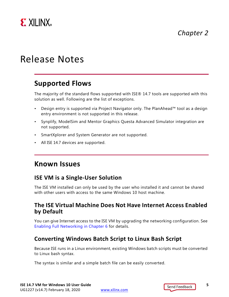

# <span id="page-4-0"></span>Release Notes

### <span id="page-4-1"></span>**Supported Flows**

The majority of the standard flows supported with ISE® 14.7 tools are supported with this solution as well. Following are the list of exceptions.

- Design entry is supported via Project Navigator only. The PlanAhead™ tool as a design entry environment is not supported in this release.
- Synplify, ModelSim and Mentor Graphics Questa Advanced Simulator integration are not supported.
- SmartXplorer and System Generator are not supported.
- All ISE 14.7 devices are supported.

### <span id="page-4-2"></span>**Known Issues**

#### **ISE VM is a Single-User Solution**

The ISE VM installed can only be used by the user who installed it and cannot be shared with other users with access to the same Windows 10 host machine.

#### **The ISE Virtual Machine Does Not Have Internet Access Enabled by Default**

You can give Internet access to the ISE VM by upgrading the networking configuration. See [Enabling Full Networking in Chapter 6](#page-19-2) for details.

#### **Converting Windows Batch Script to Linux Bash Script**

Because ISE runs in a Linux environment, existing Windows batch scripts must be converted to Linux bash syntax.

The syntax is similar and a simple batch file can be easily converted.

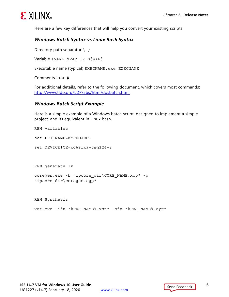

Here are a few key differences that will help you convert your existing scripts.

#### *Windows Batch Syntax vs Linux Bash Syntax*

Directory path separator  $\setminus$  /

Variable %VAR% \$VAR or \${VAR}

Executable name (typical) EXECNAME.exe EXECNAME

Comments REM #

For additional details, refer to the following document, which covers most commands: <http://www.tldp.org/LDP/abs/html/dosbatch.html>

#### *Windows Batch Script Example*

Here is a simple example of a Windows batch script, designed to implement a simple project, and its equivalent in Linux bash.

```
REM variables
set PRJ_NAME=MYPROJECT
set DEVICEICE=xc6slx9-csg324-3
REM generate IP
coregen.exe -b "ipcore dir\CORE NAME.xcp" -p
"ipcore_dir\coregen.cgp"
```
REM Synthesis

xst.exe -ifn "%PRJ\_NAME%.xst" -ofn "%PRJ\_NAME%.syr"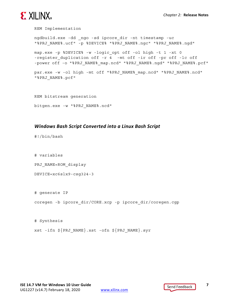

```
REM Implementation
ngdbuild.exe -dd _ngo -sd ipcore_dir -nt timestamp -uc 
"%PRJ_NAME%.ucf" -p %DEVICE% "%PRJ_NAME%.ngc" "%PRJ_NAME%.ngd"
map.exe -p %DEVICE% -w -logic_opt off -ol high -t 1 -xt 0 
-register duplication off -r 4 -mt off -ir off -pr off -lc off
-power off -o "%PRJ_NAME% map.ncd" "%PRJ_NAME%.ngd" "%PRJ_NAME%.pcf"
par.exe -w -ol high -mt off "%PRJ NAME% map.ncd" "%PRJ NAME%.ncd"
"%PRJ_NAME%.pcf"
REM bitstream generation
```

```
bitgen.exe -w "%PRJ_NAME%.ncd"
```
#### *Windows Bash Script Converted into a Linux Bash Script*

#!/bin/bash

# variables

PRJ\_NAME=ROM\_display

DEVICE=xc6slx9-csg324-3

# generate IP coregen -b ipcore\_dir/CORE.xcp -p ipcore\_dir/coregen.cgp

# Synthesis xst -ifn \${PRJ\_NAME}.xst -ofn \${PRJ\_NAME}.syr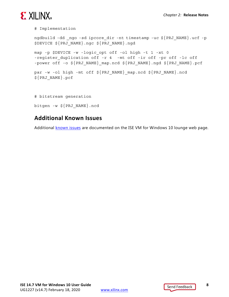# **EXALINX**

# Implementation

```
ngdbuild -dd _ngo -sd ipcore_dir -nt timestamp -uc ${PRJ_NAME}.ucf -p 
$DEVICE ${PRJ_NAME}.ngc ${PRJ_NAME}.ngd
map -p $DEVICE -w -logic_opt off -ol high -t 1 -xt 0 
-register duplication off -r 4 -mt off -ir off -pr off -lc off
-power off -o ${PRJ_NAME} map.ncd ${PRJ_NAME}.ngd ${PRJ_NAME}.pcf
par -w -ol high -mt off ${PRJ_NAME} map.ncd ${PRJ_NAME}.ncd
${PRJ_NAME}.pcf
# bitstream generation
```
bitgen -w \${PRJ\_NAME}.ncd

### **Additional Known Issues**

Additional [known issues](http://xkb/Pages/73/73204.aspx) are documented on the ISE VM for Windows 10 lounge web page.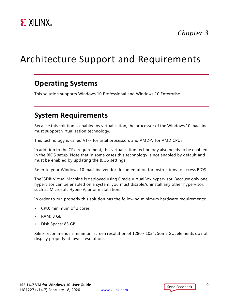

# <span id="page-8-3"></span><span id="page-8-0"></span>Architecture Support and Requirements

### <span id="page-8-1"></span>**Operating Systems**

This solution supports Windows 10 Professional and Windows 10 Enterprise.

### <span id="page-8-2"></span>**System Requirements**

Because this solution is enabled by virtualization, the processor of the Windows 10 machine must support virtualization technology.

This technology is called VT-x for Intel processors and AMD-V for AMD CPUs.

In addition to the CPU requirement, this virtualization technology also needs to be enabled in the BIOS setup. Note that in some cases this technology is not enabled by default and must be enabled by updating the BIOS settings.

Refer to your Windows 10 machine vendor documentation for instructions to access BIOS.

The ISE® Virtual Machine is deployed using Oracle VirtualBox hypervisor. Because only one hypervisor can be enabled on a system, you must disable/uninstall any other hypervisor, such as Microsoft Hyper-V, prior installation.

In order to run properly this solution has the following minimum hardware requirements:

- CPU: minimum of 2 cores
- RAM: 8 GB
- Disk Space: 85 GB

Xilinx recommends a minimum screen resolution of 1280 x 1024. Some GUI elements do not display properly at lower resolutions.

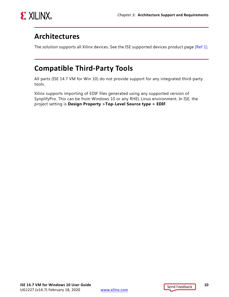

## <span id="page-9-0"></span>**Architectures**

The solution supports all Xilinx devices. See the ISE supported devices product page [\[Ref 1\].](#page-22-3)

## <span id="page-9-1"></span>**Compatible Third-Party Tools**

All parts (ISE 14.7 VM for Win 10) do not provide support for any integrated third-party tools.

Xilinx supports importing of EDIF files generated using any supported version of SynplifyPro. This can be from Windows 10 or any RHEL Linux environment. In ISE, the project setting is **Design Property >Top-Level Source type = EDIF**.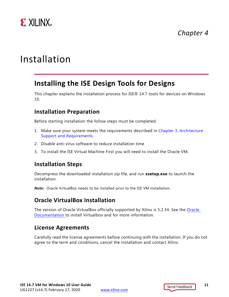

# <span id="page-10-0"></span>Installation

### <span id="page-10-1"></span>**Installing the ISE Design Tools for Designs**

This chapter explains the installation process for ISE® 14.7 tools for devices on Windows 10.

#### **Installation Preparation**

Before starting installation the follow steps must be completed.

- 1. Make sure your system meets the requirements described in [Chapter 3, Architecture](#page-8-3)  [Support and Requirements](#page-8-3).
- 2. Disable anti-virus software to reduce installation time
- 3. To install the ISE Virtual Machine First you will need to install the Oracle VM.

#### **Installation Steps**

Decompress the downloaded installation zip file, and run **xsetup.exe** to launch the installation.

*Note:* Oracle VirtualBox needs to be installed prior to the ISE VM installation.

#### **Oracle VirtualBox Installation**

The version of Oracle VirtualBox officially supported by Xilinx is 5.2.34. See the [Oracle](https://www.virtualbox.org/wiki/Download_Old_Builds_5_2)  [Documentation t](https://www.virtualbox.org/wiki/Download_Old_Builds_5_2)o install Virtualbox and for more information.

### **License Agreements**

Carefully read the license agreements before continuing with the installation. If you do not agree to the term and conditions, cancel the installation and contact Xilinx.

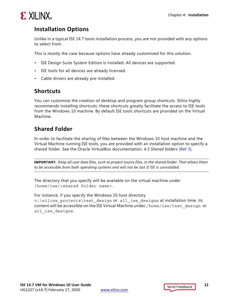

### **Installation Options**

Unlike in a typical ISE 14.7 tools installation process, you are not provided with any options to select from.

This is mostly the case because options have already customized for this solution.

- ISE Design Suite System Edition is installed. All devices are supported.
- ISE tools for all devices are already licensed.
- Cable drivers are already pre-installed.

### **Shortcuts**

You can customize the creation of desktop and program group shortcuts. Xilinx highly recommends installing shortcuts; these shortcuts greatly facilitate the access to ISE tools from the Windows 10 machine. By default ISE tools shortcuts are provided on the Virtual Machine.

### **Shared Folder**

In order to facilitate the sharing of files between the Windows 10 host machine and the Virtual Machine running ISE tools, you are provided with an installation option to specify a shared folder. See the Oracle VirtualBox documentation. *4.3 Shared folders* [\[Ref 3\]](#page-22-4).

**IMPORTANT:** *Keep all user data files, such as project source files, in the shared folder. That allows them to be accessible from both operating systems and will not be lost if ISE is uninstalled.*

The directory that you specify will be available on the virtual machine under /home/ise/<shared folder name>.

For instance, if you specify the Windows 10 host directory c:\xilinx\_projects\test\_design or all\_ise\_designs at installation time, its content will be accessible on the ISE Virtual Machine under /home/ise/test\_design or all ise designs.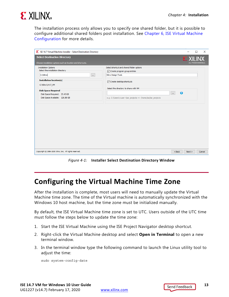

The installation process only allows you to specify one shared folder, but it is possible to configure additional shared folders post installation. See [Chapter 6, ISE Virtual Machine](#page-19-3)  [Configuration](#page-19-3) for more details.

| SE 14.7 Virtual Machine Installer - Select Destination Directory                                   | $\Box$<br>$\times$                                                                                          |
|----------------------------------------------------------------------------------------------------|-------------------------------------------------------------------------------------------------------------|
| <b>Select Destination Directory</b><br>Choose installation options such as location and shortcuts. | <b>EX XILINX</b><br>ALL PROGRAMMABLE.                                                                       |
| <b>Installation Options</b><br>Select the installation directory<br>C: Wilinx<br>m,                | Select shortcut and shared folder options<br>○ Create program group entries<br>Xilinx Design Tools          |
| <b>Installation location(s)</b><br>C: \Xilinx \14.7_VM                                             | Create desktop shortcuts<br>Select the directory to share with VM                                           |
| <b>Disk Space Required</b><br>Disk Space Required: 23.43 GB<br>Disk Space Available: 126.88 GB     | $\bullet$<br>$\Delta\Delta\omega$<br>e.g. C:\Users\ <user>\ise_projects =&gt; /home/ise/ise_projects</user> |
|                                                                                                    |                                                                                                             |
|                                                                                                    |                                                                                                             |
|                                                                                                    |                                                                                                             |
|                                                                                                    |                                                                                                             |
| Copyright © 1986-2019 Xilinx, Inc. All rights reserved.                                            | $<$ Back<br>Next ><br>Cancel                                                                                |

*Figure 4-1:* **Installer Select Destination Directory Window**

## <span id="page-12-0"></span>**Configuring the Virtual Machine Time Zone**

After the installation is complete, most users will need to manually update the Virtual Machine time zone. The time of the Virtual machine is automatically synchronized with the Windows 10 host machine, but the time zone must be initialized manually.

By default, the ISE Virtual Machine time zone is set to UTC. Users outside of the UTC time must follow the steps below to update the time zone:

- 1. Start the ISE Virtual Machine using the ISE Project Navigator desktop shortcut.
- 2. Right-click the Virtual Machine desktop and select **Open in Terminal** to open a new terminal window.
- 3. In the terminal window type the following command to launch the Linux utility tool to adjust the time:

sudo system-config-date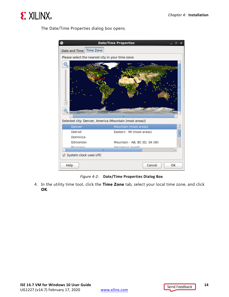

The Date/Time Properties dialog box opens.



*Figure 4-2:* **Date/Time Properties Dialog Box**

4. In the utility time tool, click the **Time Zone** tab, select your local time zone, and click **OK**.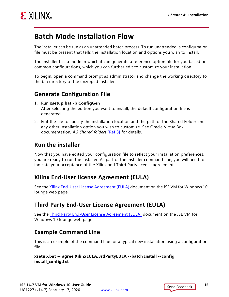

## <span id="page-14-0"></span>**Batch Mode Installation Flow**

The installer can be run as an unattended batch process. To run unattended, a configuration file must be present that tells the installation location and options you wish to install.

The installer has a mode in which it can generate a reference option file for you based on common configurations, which you can further edit to customize your installation.

To begin, open a command prompt as administrator and change the working directory to the bin directory of the unzipped installer.

### **Generate Configuration File**

- 1. Run **xsetup.bat -b ConfigGen** After selecting the edition you want to install, the default configuration file is generated.
- 2. Edit the file to specify the installation location and the path of the Shared Folder and any other installation option you wish to customize. See Oracle VirtualBox documentation, *4.3 Shared folders* [\[Ref 3\]](#page-22-4) for details.

### **Run the installer**

Now that you have edited your configuration file to reflect your installation preferences, you are ready to run the installer. As part of the installer command line, you will need to indicate your acceptance of the Xilinx and Third Party license agreements.

### **Xilinx End-User license Agreement (EULA)**

See the [Xilinx End-User License Agreement \(EULA\)](https://www.xilinx.com/support/documentation/sw_manuals/xilinx14_7/unified_xilinx_eulas_for_Win10_VM_for_ISE.pdf) document on the ISE VM for Windows 10 lounge web page.

### **Third Party End-User License Agreement (EULA)**

See the [Third Party End-User License Agreement \(EULA\)](https://www.xilinx.com/support/documentation/sw_manuals/xilinx14_7/unified_3rd_party_eulas_for_Win10_VM_for_ISE.pdf) document on the ISE VM for Windows 10 lounge web page.

### **Example Command Line**

This is an example of the command line for a typical new installation using a configuration file.

#### **xsetup.bat -- agree XilinxEULA,3rdPartyEULA --batch Install --config install\_config.txt**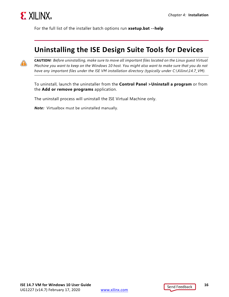

For the full list of the installer batch options run **xsetup.bat --help**

### <span id="page-15-0"></span>**Uninstalling the ISE Design Suite Tools for Devices**



**CAUTION!** *Before uninstalling, make sure to move all important files located on the Linux guest Virtual Machine you want to keep on the Windows 10 host. You might also want to make sure that you do not have any important files under the ISE VM installation directory (typically under C:\Xilinx\14.7\_VM).*

To uninstall, launch the uninstaller from the **Control Panel >Uninstall a program** or from the **Add or remove programs** application.

The uninstall process will uninstall the ISE Virtual Machine only.

*Note:* Virtualbox must be uninstalled manually.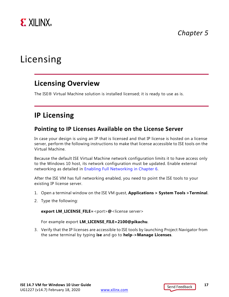

# <span id="page-16-0"></span>Licensing

### <span id="page-16-1"></span>**Licensing Overview**

The ISE® Virtual Machine solution is installed licensed; it is ready to use as is.

### <span id="page-16-2"></span>**IP Licensing**

#### **Pointing to IP Licenses Available on the License Server**

In case your design is using an IP that is licensed and that IP license is hosted on a license server, perform the following instructions to make that license accessible to ISE tools on the Virtual Machine.

Because the default ISE Virtual Machine network configuration limits it to have access only to the Windows 10 host, its network configuration must be updated. Enable external networking as detailed in [Enabling Full Networking in Chapter 6](#page-19-2).

After the ISE VM has full networking enabled, you need to point the ISE tools to your existing IP license server.

- 1. Open a terminal window on the ISE VM guest, **Applications > System Tools >Terminal**.
- 2. Type the following:

**export LM\_LICENSE\_FILE=**<port>**@**<license server>

For example export **LM\_LICENSE\_FILE=2100@pikachu**.

3. Verify that the IP licenses are accessible to ISE tools by launching Project Navigator from the same terminal by typing **ise** and go to **help->Manage Licenses**.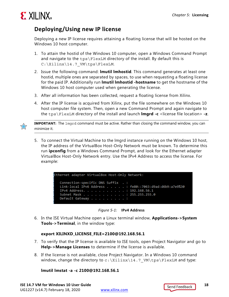

### **Deploying/Using new IP license**

Deploying a new IP license requires attaining a floating license that will be hosted on the Windows 10 host computer.

- 1. To attain the hostid of the Windows 10 computer, open a Windows Command Prompt and navigate to the  $tps\FlexLM$  directory of the install. By default this is C:\Xilinx\14.7\_VM\tps\FlexLM.
- 2. Issue the following command: **lmutil lmhostid**. This command generates at least one hostid, multiple ones are separated by spaces, to use when requesting a floating license for the paid IP. Additionally run **lmutil lmhostid -hostname** to get the hostname of the Windows 10 host computer used when generating the license.
- 3. After all information has been collected, request a floating license from Xilinx.
- 4. After the IP license is acquired from Xilinx, put the file somewhere on the Windows 10 host computer file system. Then, open a new Command Prompt and again navigate to the tps\FlexLM directory of the install and launch **lmgrd -c** <license file location> **-z**.



**IMPORTANT:** The lmgrd command must be active. Rather than closing the command window, you can minimize it.

5. To connect the Virtual Machine to the lmgrd instance running on the Windows 10 host, the IP address of the VirtualBox Host-Only Network must be known. To determine this run **ipconfig** from a Windows Command Prompt, and look for the Ethernet adapter VirtualBox Host-Only Network entry. Use the IPv4 Address to access the license. For example:

> <span id="page-17-0"></span>Ethernet adapter VirtualBox Host-Only Network: Connection-specific DNS Suffix . : Link-local IPv6 Address . . . . . : fe80::7063:d9ad:d6b9:a7e9%30 IPv4 Address. . . . . . . . . . . : 192.168.56.1 Subnet Mask . . . . . . . . . . . : 255.255.255.0 Default Gateway . . . .



6. In the ISE Virtual Machine open a Linux terminal window, **Applications->System Tools->Terminal**, in the window type:

#### **export XILINXD\_LICENSE\_FILE=2100@192.168.56.1**

- 7. To verify that the IP license is available to ISE tools, open Project Navigator and go to **Help->Manage Licenses** to determine if the license is available.
- 8. If the license is not available, close Project Navigator. In a Windows 10 command window, change the directory to  $c:\Xilinx\14.7$  VM\tps\FlexLM and type:

#### **lmutil lmstat -a -c 2100@192.168.56.1**

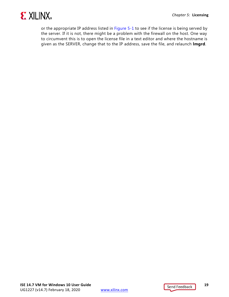

or the appropriate IP address listed in [Figure 5-1](#page-17-0) to see if the license is being served by the server. If it is not, there might be a problem with the firewall on the host. One way to circumvent this is to open the license file in a text editor and where the hostname is given as the SERVER, change that to the IP address, save the file, and relaunch **lmgrd**.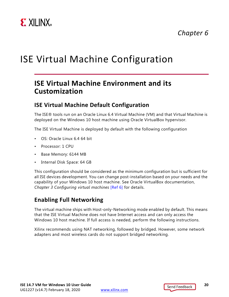

# <span id="page-19-3"></span><span id="page-19-0"></span>ISE Virtual Machine Configuration

### <span id="page-19-1"></span>**ISE Virtual Machine Environment and its Customization**

#### **ISE Virtual Machine Default Configuration**

The ISE® tools run on an Oracle Linux 6.4 Virtual Machine (VM) and that Virtual Machine is deployed on the Windows 10 host machine using Oracle VirtualBox hypervisor.

The ISE Virtual Machine is deployed by default with the following configuration

- OS: Oracle Linux 6.4 64 bit
- Processor: 1 CPU
- Base Memory: 6144 MB
- Internal Disk Space: 64 GB

This configuration should be considered as the minimum configuration but is sufficient for all ISE devices development. You can change post-installation based on your needs and the capability of your Windows 10 host machine. See Oracle VirtualBox documentation, *Chapter 3 Configuring virtual machines* [\[Ref 6\]](#page-22-5) for details.

### <span id="page-19-2"></span>**Enabling Full Networking**

The virtual machine ships with Host-only-Networking mode enabled by default. This means that the ISE Virtual Machine does not have Internet access and can only access the Windows 10 host machine. If full access is needed, perform the following instructions.

Xilinx recommends using NAT networking, followed by bridged. However, some network adapters and most wireless cards do not support bridged networking.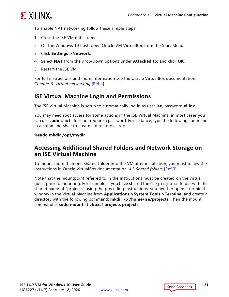

To enable NAT networking follow these simple steps.

- 1. Close the ISE VM if it is open.
- 2. On the Windows 10 host, open Oracle VM VirtualBox from the Start Menu.
- 3. Click **Settings >Network**.
- 4. Select **NAT** from the drop-down options under **Attached to:** and click **OK**.
- 5. Restart the ISE VM.

For full instructions and more information see the Oracle VirtualBox documentation, *Chapter 6. Virtual networking* [\[Ref 4\]](#page-22-6).

#### **ISE Virtual Machine Login and Permissions**

The ISE Virtual Machine is setup to automatically log in as user **ise**, password **xilinx**.

You may need root access for some actions in the ISE Virtual Machine, in most cases you can use **sudo** which does not require a password. For instance, type the following command in a command shell to create a directory as root.

#### %**sudo mkdir /opt/mydir**

#### **Accessing Additional Shared Folders and Network Storage on an ISE Virtual Machine**

To mount more than one shared folder into the VM after installation, you must follow the instructions in Oracle VirtualBox documentation, *4.3 Shared folders* [\[Ref 3\]](#page-22-4).

Note that the mountpoint referred to in the instructions must be created on the virtual quest prior to mounting. For example, if you have shared the  $C:\preccurlyeq C$  folder with the shared name of "projects" using the preceding instructions, you need to open a terminal window in the Virtual Machine from **Applications >System Tools >Terminal** and create a directory with the following command: **mkdir -p /home/ise/projects**. Then the mount command is **sudo mount -t vboxsf projects projects**.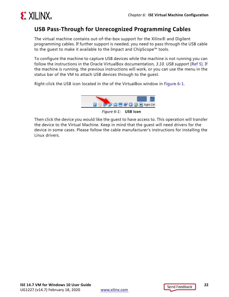

### **USB Pass-Through for Unrecognized Programming Cables**

The virtual machine contains out-of-the-box support for the Xilinx® and Digilent programming cables. If further support is needed, you need to pass through the USB cable to the guest to make it available to the Impact and ChipScope™ tools.

To configure the machine to capture USB devices while the machine is not running you can follow the instructions in the Oracle VirtualBox documentation, *3.10. USB support* [\[Ref 5\]](#page-22-7). If the machine is running, the previous instructions will work, or you can use the menu in the status bar of the VM to attach USB devices through to the guest.

<span id="page-21-0"></span>Right-click the USB icon located in the of the VirtualBox window in [Figure 6-1.](#page-21-0)



*Figure 6-1:* **USB Icon**

Then click the device you would like the guest to have access to. This operation will transfer the device to the Virtual Machine. Keep in mind that the guest will need drivers for the device in some cases. Please follow the cable manufacturer's instructions for installing the Linux drivers.